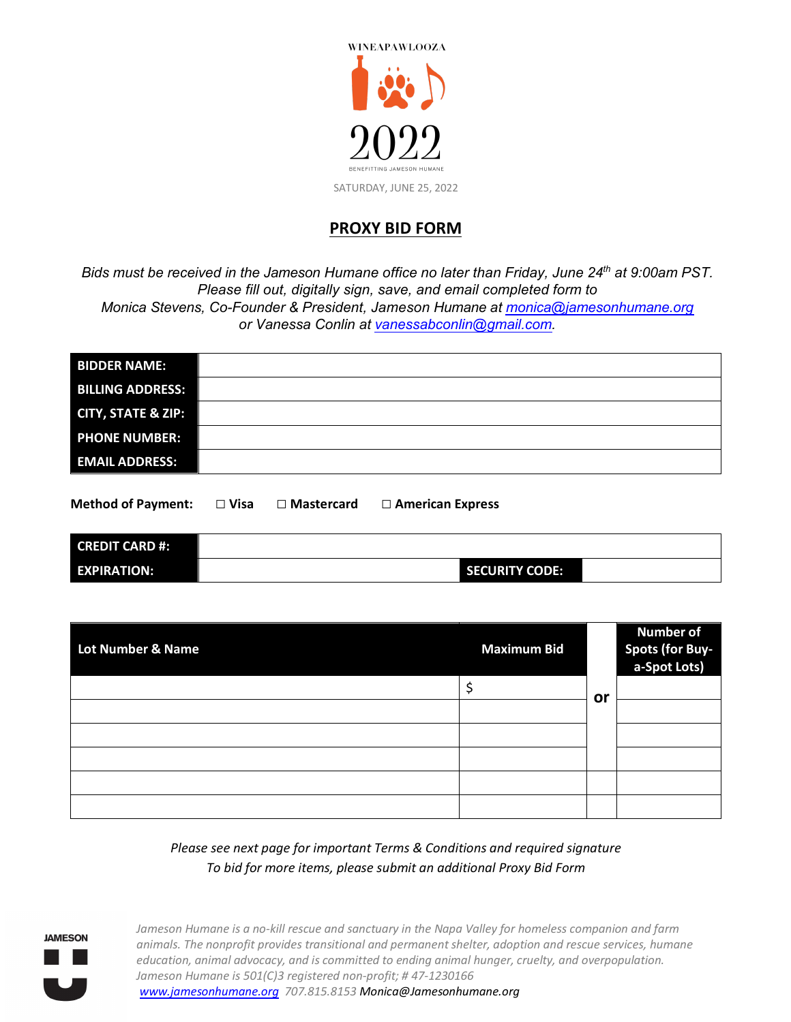

## **PROXY BID FORM**

*Bids must be received in the Jameson Humane office no later than Friday, June 24th at 9:00am PST. Please fill out, digitally sign, save, and email completed form to Monica Stevens, Co-Founder & President, Jameson Humane at monica@jamesonhumane.org or Vanessa Conlin at vanessabconlin@gmail.com.*

| <b>BIDDER NAME:</b>           |  |
|-------------------------------|--|
| <b>BILLING ADDRESS:</b>       |  |
| <b>CITY, STATE &amp; ZIP:</b> |  |
| <b>PHONE NUMBER:</b>          |  |
| <b>EMAIL ADDRESS:</b>         |  |
|                               |  |

**Method of Payment: □ Visa □ Mastercard □ American Express**

| <b>CREDIT CARD #:</b> |                       |  |
|-----------------------|-----------------------|--|
| <b>EXPIRATION:</b>    | <b>SECURITY CODE:</b> |  |

| Lot Number & Name | <b>Maximum Bid</b> |    | <b>Number of</b><br>Spots (for Buy-<br>a-Spot Lots) |
|-------------------|--------------------|----|-----------------------------------------------------|
|                   |                    | or |                                                     |
|                   |                    |    |                                                     |
|                   |                    |    |                                                     |
|                   |                    |    |                                                     |
|                   |                    |    |                                                     |
|                   |                    |    |                                                     |

*Please see next page for important Terms & Conditions and required signature To bid for more items, please submit an additional Proxy Bid Form*



*Jameson Humane is a no-kill rescue and sanctuary in the Napa Valley for homeless companion and farm animals. The nonprofit provides transitional and permanent shelter, adoption and rescue services, humane education, animal advocacy, and is committed to ending animal hunger, cruelty, and overpopulation. Jameson Humane is 501(C)3 registered non-profit; # 47-1230166*

*www.jamesonhumane.org 707.815.8153 Monica@Jamesonhumane.org*